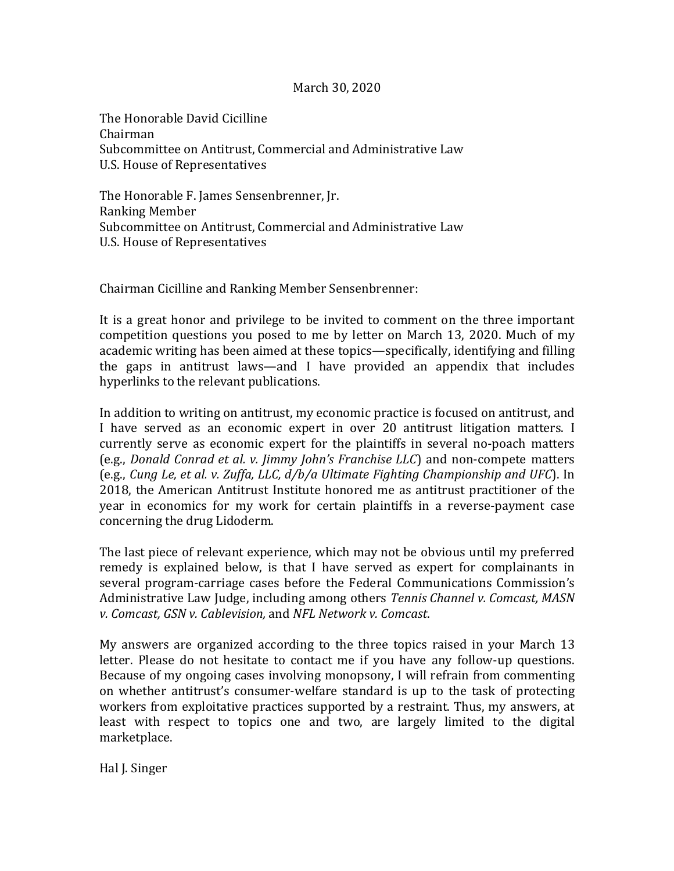## March 30, 2020

The Honorable David Cicilline Chairman Subcommittee on Antitrust, Commercial and Administrative Law U.S. House of Representatives

The Honorable F. James Sensenbrenner, Jr. Ranking Member Subcommittee on Antitrust, Commercial and Administrative Law U.S. House of Representatives

Chairman Cicilline and Ranking Member Sensenbrenner:

It is a great honor and privilege to be invited to comment on the three important competition questions you posed to me by letter on March 13, 2020. Much of my academic writing has been aimed at these topics—specifically, identifying and filling the gaps in antitrust laws—and I have provided an appendix that includes hyperlinks to the relevant publications.

In addition to writing on antitrust, my economic practice is focused on antitrust, and I have served as an economic expert in over 20 antitrust litigation matters. I currently serve as economic expert for the plaintiffs in several no-poach matters (e.g., *Donald Conrad et al. v. Jimmy John's Franchise LLC*) and non-compete matters (e.g., *Cung Le, et al. v. Zuffa, LLC, d/b/a Ultimate Fighting Championship and UFC*). In 2018, the American Antitrust Institute honored me as antitrust practitioner of the year in economics for my work for certain plaintiffs in a reverse-payment case concerning the drug Lidoderm.

The last piece of relevant experience, which may not be obvious until my preferred remedy is explained below, is that I have served as expert for complainants in several program-carriage cases before the Federal Communications Commission's Administrative Law Judge, including among others *Tennis Channel v. Comcast, MASN v. Comcast, GSN v. Cablevision,* and *NFL Network v. Comcast*.

My answers are organized according to the three topics raised in your March 13 letter. Please do not hesitate to contact me if you have any follow-up questions. Because of my ongoing cases involving monopsony, I will refrain from commenting on whether antitrust's consumer-welfare standard is up to the task of protecting workers from exploitative practices supported by a restraint. Thus, my answers, at least with respect to topics one and two, are largely limited to the digital marketplace.

Hal J. Singer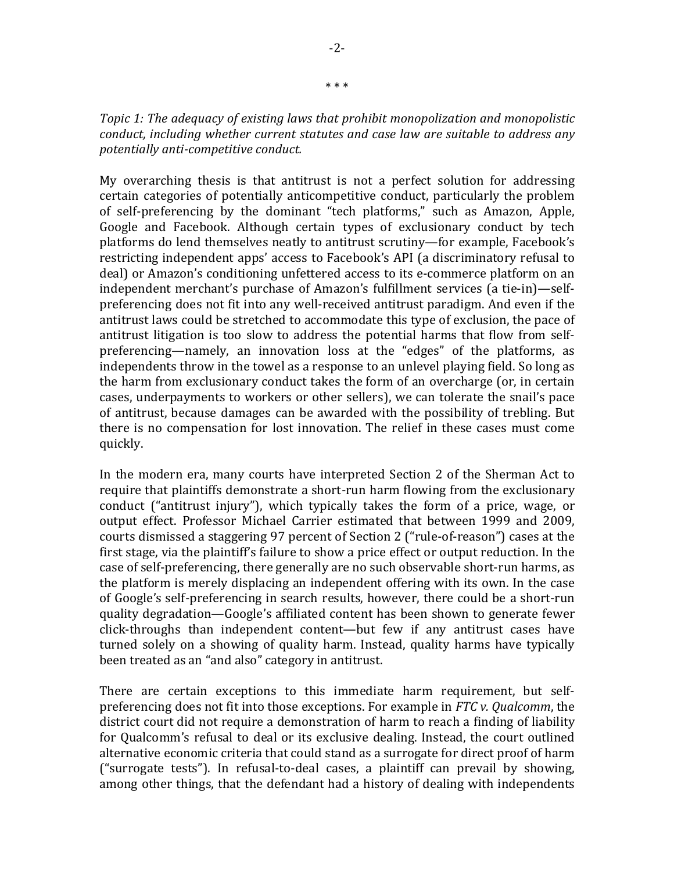*Topic 1: The adequacy of existing laws that prohibit monopolization and monopolistic conduct, including whether current statutes and case law are suitable to address any potentially anti-competitive conduct.*

My overarching thesis is that antitrust is not a perfect solution for addressing certain categories of potentially anticompetitive conduct, particularly the problem of self-preferencing by the dominant "tech platforms," such as Amazon, Apple, Google and Facebook. Although certain types of exclusionary conduct by tech platforms do lend themselves neatly to antitrust scrutiny—for example, Facebook's restricting independent apps' access to Facebook's API (a discriminatory refusal to deal) or Amazon's conditioning unfettered access to its e-commerce platform on an independent merchant's purchase of Amazon's fulfillment services (a tie-in)—selfpreferencing does not fit into any well-received antitrust paradigm. And even if the antitrust laws could be stretched to accommodate this type of exclusion, the pace of antitrust litigation is too slow to address the potential harms that flow from selfpreferencing—namely, an innovation loss at the "edges" of the platforms, as independents throw in the towel as a response to an unlevel playing field. So long as the harm from exclusionary conduct takes the form of an overcharge (or, in certain cases, underpayments to workers or other sellers), we can tolerate the snail's pace of antitrust, because damages can be awarded with the possibility of trebling. But there is no compensation for lost innovation. The relief in these cases must come quickly.

In the modern era, many courts have interpreted Section 2 of the Sherman Act to require that plaintiffs demonstrate a short-run harm flowing from the exclusionary conduct ("antitrust injury"), which typically takes the form of a price, wage, or output effect. Professor Michael Carrier estimated that between 1999 and 2009, courts dismissed a staggering 97 percent of Section 2 ("rule-of-reason") cases at the first stage, via the plaintiff's failure to show a price effect or output reduction. In the case of self-preferencing, there generally are no such observable short-run harms, as the platform is merely displacing an independent offering with its own. In the case of Google's self-preferencing in search results, however, there could be a short-run quality degradation—Google's affiliated content has been shown to generate fewer click-throughs than independent content—but few if any antitrust cases have turned solely on a showing of quality harm. Instead, quality harms have typically been treated as an "and also" category in antitrust.

There are certain exceptions to this immediate harm requirement, but selfpreferencing does not fit into those exceptions. For example in *FTC v. Qualcomm*, the district court did not require a demonstration of harm to reach a finding of liability for Qualcomm's refusal to deal or its exclusive dealing. Instead, the court outlined alternative economic criteria that could stand as a surrogate for direct proof of harm ("surrogate tests"). In refusal-to-deal cases, a plaintiff can prevail by showing, among other things, that the defendant had a history of dealing with independents

\* \* \*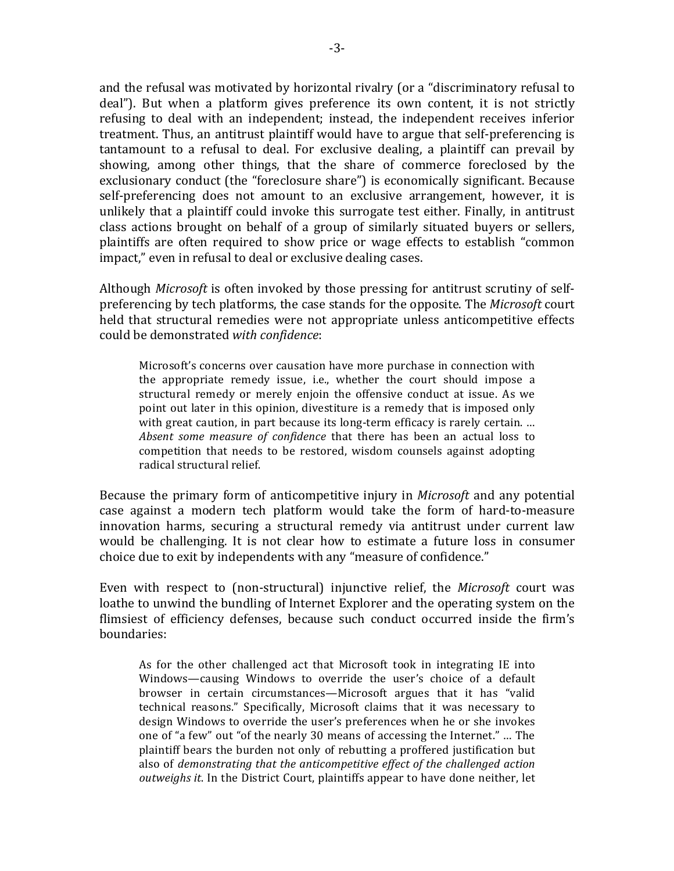and the refusal was motivated by horizontal rivalry (or a "discriminatory refusal to deal"). But when a platform gives preference its own content, it is not strictly refusing to deal with an independent; instead, the independent receives inferior treatment. Thus, an antitrust plaintiff would have to argue that self-preferencing is tantamount to a refusal to deal. For exclusive dealing, a plaintiff can prevail by showing, among other things, that the share of commerce foreclosed by the exclusionary conduct (the "foreclosure share") is economically significant. Because self-preferencing does not amount to an exclusive arrangement, however, it is unlikely that a plaintiff could invoke this surrogate test either. Finally, in antitrust class actions brought on behalf of a group of similarly situated buyers or sellers, plaintiffs are often required to show price or wage effects to establish "common impact," even in refusal to deal or exclusive dealing cases. 

Although *Microsoft* is often invoked by those pressing for antitrust scrutiny of selfpreferencing by tech platforms, the case stands for the opposite. The *Microsoft* court held that structural remedies were not appropriate unless anticompetitive effects could be demonstrated *with confidence*:

Microsoft's concerns over causation have more purchase in connection with the appropriate remedy issue, i.e., whether the court should impose a structural remedy or merely enjoin the offensive conduct at issue. As we point out later in this opinion, divestiture is a remedy that is imposed only with great caution, in part because its long-term efficacy is rarely certain. ... *Absent some measure of confidence* that there has been an actual loss to competition that needs to be restored, wisdom counsels against adopting radical structural relief.

Because the primary form of anticompetitive injury in *Microsoft* and any potential case against a modern tech platform would take the form of hard-to-measure innovation harms, securing a structural remedy via antitrust under current law would be challenging. It is not clear how to estimate a future loss in consumer choice due to exit by independents with any "measure of confidence."

Even with respect to (non-structural) injunctive relief, the *Microsoft* court was loathe to unwind the bundling of Internet Explorer and the operating system on the flimsiest of efficiency defenses, because such conduct occurred inside the firm's boundaries:

As for the other challenged act that Microsoft took in integrating IE into Windows—causing Windows to override the user's choice of a default browser in certain circumstances—Microsoft argues that it has "valid technical reasons." Specifically, Microsoft claims that it was necessary to design Windows to override the user's preferences when he or she invokes one of "a few" out "of the nearly 30 means of accessing the Internet." … The plaintiff bears the burden not only of rebutting a proffered justification but also of *demonstrating that the anticompetitive effect of the challenged action outweighs it*. In the District Court, plaintiffs appear to have done neither, let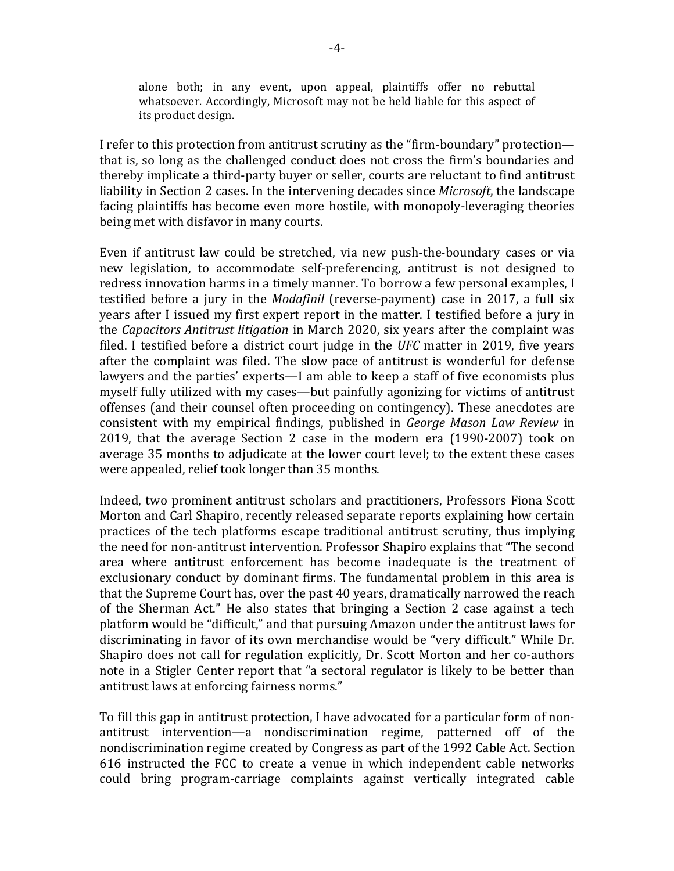alone both; in any event, upon appeal, plaintiffs offer no rebuttal whatsoever. Accordingly, Microsoft may not be held liable for this aspect of its product design.

I refer to this protection from antitrust scrutiny as the "firm-boundary" protection that is, so long as the challenged conduct does not cross the firm's boundaries and thereby implicate a third-party buyer or seller, courts are reluctant to find antitrust liability in Section 2 cases. In the intervening decades since *Microsoft*, the landscape facing plaintiffs has become even more hostile, with monopoly-leveraging theories being met with disfavor in many courts.

Even if antitrust law could be stretched, via new push-the-boundary cases or via new legislation, to accommodate self-preferencing, antitrust is not designed to redress innovation harms in a timely manner. To borrow a few personal examples, I testified before a jury in the *Modafinil* (reverse-payment) case in 2017, a full six years after I issued my first expert report in the matter. I testified before a jury in the *Capacitors Antitrust litigation* in March 2020, six years after the complaint was filed. I testified before a district court judge in the *UFC* matter in 2019, five years after the complaint was filed. The slow pace of antitrust is wonderful for defense lawyers and the parties' experts—I am able to keep a staff of five economists plus myself fully utilized with my cases—but painfully agonizing for victims of antitrust offenses (and their counsel often proceeding on contingency). These anecdotes are consistent with my empirical findings, published in *George Mason Law Review* in 2019, that the average Section 2 case in the modern era (1990-2007) took on average 35 months to adjudicate at the lower court level; to the extent these cases were appealed, relief took longer than 35 months.

Indeed, two prominent antitrust scholars and practitioners, Professors Fiona Scott Morton and Carl Shapiro, recently released separate reports explaining how certain practices of the tech platforms escape traditional antitrust scrutiny, thus implying the need for non-antitrust intervention. Professor Shapiro explains that "The second area where antitrust enforcement has become inadequate is the treatment of exclusionary conduct by dominant firms. The fundamental problem in this area is that the Supreme Court has, over the past 40 years, dramatically narrowed the reach of the Sherman Act." He also states that bringing a Section 2 case against a tech platform would be "difficult," and that pursuing Amazon under the antitrust laws for discriminating in favor of its own merchandise would be "very difficult." While Dr. Shapiro does not call for regulation explicitly, Dr. Scott Morton and her co-authors note in a Stigler Center report that "a sectoral regulator is likely to be better than antitrust laws at enforcing fairness norms."

To fill this gap in antitrust protection, I have advocated for a particular form of nonantitrust intervention—a nondiscrimination regime, patterned off of the nondiscrimination regime created by Congress as part of the 1992 Cable Act. Section 616 instructed the FCC to create a venue in which independent cable networks could bring program-carriage complaints against vertically integrated cable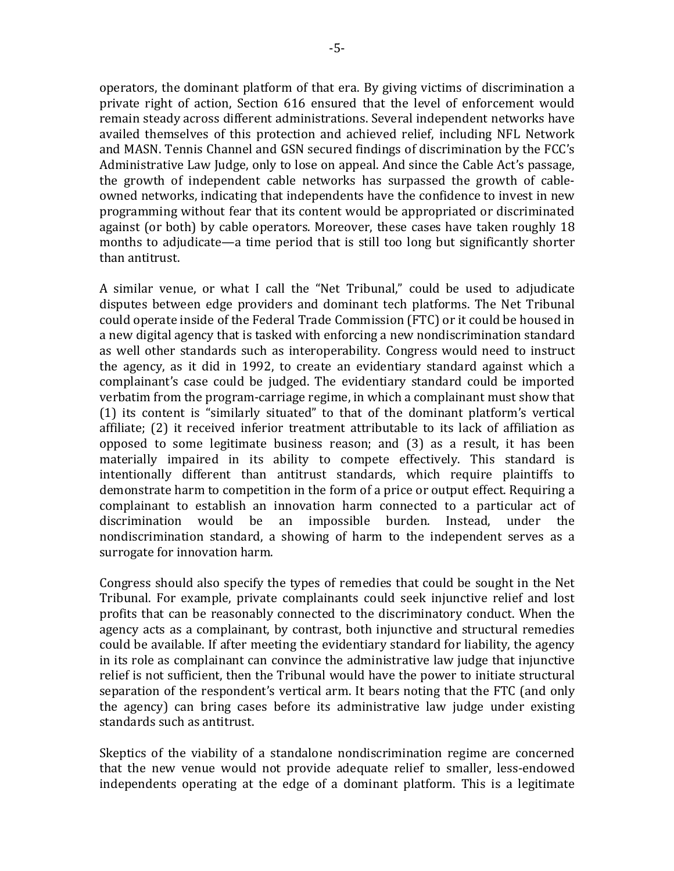operators, the dominant platform of that era. By giving victims of discrimination a private right of action, Section 616 ensured that the level of enforcement would remain steady across different administrations. Several independent networks have availed themselves of this protection and achieved relief, including NFL Network and MASN. Tennis Channel and GSN secured findings of discrimination by the FCC's Administrative Law Judge, only to lose on appeal. And since the Cable Act's passage, the growth of independent cable networks has surpassed the growth of cableowned networks, indicating that independents have the confidence to invest in new programming without fear that its content would be appropriated or discriminated against (or both) by cable operators. Moreover, these cases have taken roughly 18 months to adjudicate—a time period that is still too long but significantly shorter than antitrust.

A similar venue, or what I call the "Net Tribunal," could be used to adjudicate disputes between edge providers and dominant tech platforms. The Net Tribunal could operate inside of the Federal Trade Commission (FTC) or it could be housed in a new digital agency that is tasked with enforcing a new nondiscrimination standard as well other standards such as interoperability. Congress would need to instruct the agency, as it did in 1992, to create an evidentiary standard against which a complainant's case could be judged. The evidentiary standard could be imported verbatim from the program-carriage regime, in which a complainant must show that (1) its content is "similarly situated" to that of the dominant platform's vertical affiliate; (2) it received inferior treatment attributable to its lack of affiliation as opposed to some legitimate business reason; and (3) as a result, it has been materially impaired in its ability to compete effectively. This standard is intentionally different than antitrust standards, which require plaintiffs to demonstrate harm to competition in the form of a price or output effect. Requiring a complainant to establish an innovation harm connected to a particular act of discrimination would be an impossible burden. Instead, under the nondiscrimination standard, a showing of harm to the independent serves as a surrogate for innovation harm.

Congress should also specify the types of remedies that could be sought in the Net Tribunal. For example, private complainants could seek injunctive relief and lost profits that can be reasonably connected to the discriminatory conduct. When the agency acts as a complainant, by contrast, both injunctive and structural remedies could be available. If after meeting the evidentiary standard for liability, the agency in its role as complainant can convince the administrative law judge that injunctive relief is not sufficient, then the Tribunal would have the power to initiate structural separation of the respondent's vertical arm. It bears noting that the FTC (and only the agency) can bring cases before its administrative law judge under existing standards such as antitrust.

Skeptics of the viability of a standalone nondiscrimination regime are concerned that the new venue would not provide adequate relief to smaller, less-endowed independents operating at the edge of a dominant platform. This is a legitimate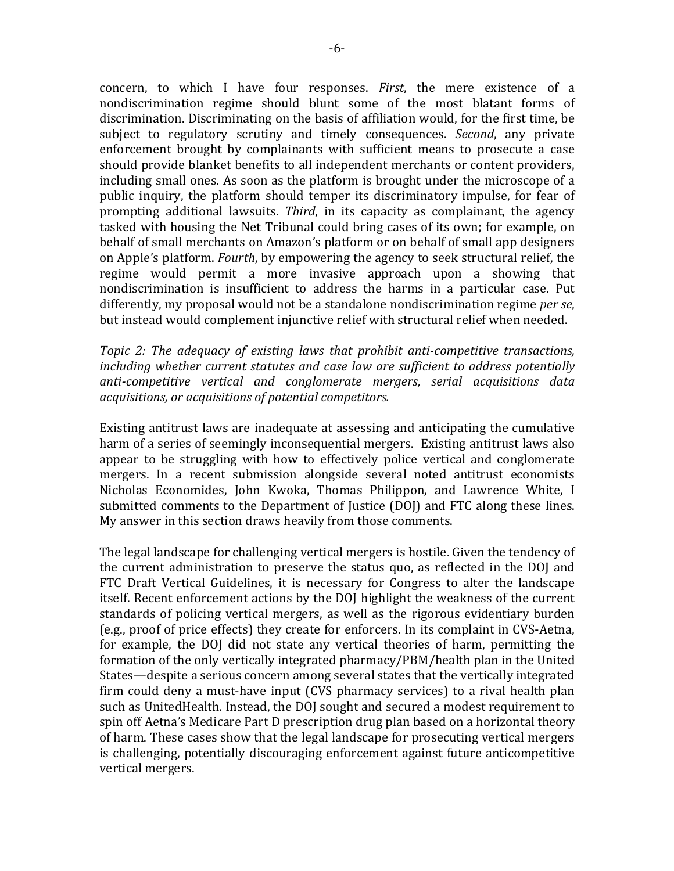concern, to which I have four responses. *First*, the mere existence of a nondiscrimination regime should blunt some of the most blatant forms of discrimination. Discriminating on the basis of affiliation would, for the first time, be subject to regulatory scrutiny and timely consequences. *Second*, any private enforcement brought by complainants with sufficient means to prosecute a case should provide blanket benefits to all independent merchants or content providers, including small ones. As soon as the platform is brought under the microscope of a public inquiry, the platform should temper its discriminatory impulse, for fear of prompting additional lawsuits. *Third*, in its capacity as complainant, the agency tasked with housing the Net Tribunal could bring cases of its own; for example, on behalf of small merchants on Amazon's platform or on behalf of small app designers on Apple's platform. *Fourth*, by empowering the agency to seek structural relief, the regime would permit a more invasive approach upon a showing that nondiscrimination is insufficient to address the harms in a particular case. Put differently, my proposal would not be a standalone nondiscrimination regime *per se*, but instead would complement injunctive relief with structural relief when needed.

*Topic 2: The adequacy of existing laws that prohibit anti-competitive transactions, including whether current statutes and case law are sufficient to address potentially anti-competitive vertical and conglomerate mergers, serial acquisitions data acquisitions, or acquisitions of potential competitors.*

Existing antitrust laws are inadequate at assessing and anticipating the cumulative harm of a series of seemingly inconsequential mergers. Existing antitrust laws also appear to be struggling with how to effectively police vertical and conglomerate mergers. In a recent submission alongside several noted antitrust economists Nicholas Economides, John Kwoka, Thomas Philippon, and Lawrence White, I submitted comments to the Department of Justice (DOJ) and FTC along these lines. My answer in this section draws heavily from those comments.

The legal landscape for challenging vertical mergers is hostile. Given the tendency of the current administration to preserve the status quo, as reflected in the DOJ and FTC Draft Vertical Guidelines, it is necessary for Congress to alter the landscape itself. Recent enforcement actions by the DOJ highlight the weakness of the current standards of policing vertical mergers, as well as the rigorous evidentiary burden (e.g., proof of price effects) they create for enforcers. In its complaint in CVS-Aetna, for example, the DOJ did not state any vertical theories of harm, permitting the formation of the only vertically integrated pharmacy/PBM/health plan in the United States—despite a serious concern among several states that the vertically integrated firm could deny a must-have input (CVS pharmacy services) to a rival health plan such as UnitedHealth. Instead, the DOJ sought and secured a modest requirement to spin off Aetna's Medicare Part D prescription drug plan based on a horizontal theory of harm. These cases show that the legal landscape for prosecuting vertical mergers is challenging, potentially discouraging enforcement against future anticompetitive vertical mergers.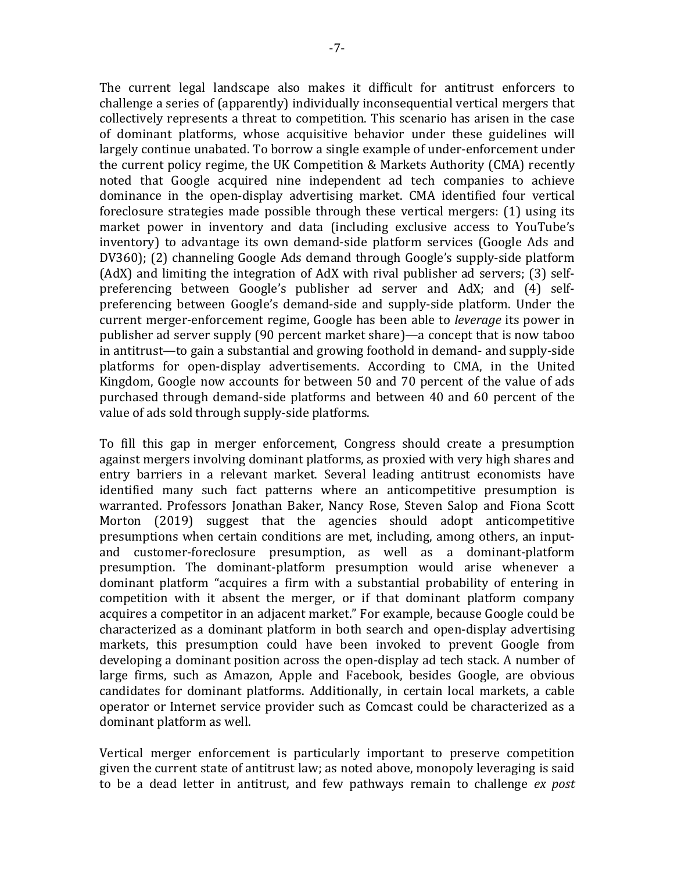The current legal landscape also makes it difficult for antitrust enforcers to challenge a series of (apparently) individually inconsequential vertical mergers that collectively represents a threat to competition. This scenario has arisen in the case of dominant platforms, whose acquisitive behavior under these guidelines will largely continue unabated. To borrow a single example of under-enforcement under the current policy regime, the UK Competition & Markets Authority (CMA) recently noted that Google acquired nine independent ad tech companies to achieve dominance in the open-display advertising market. CMA identified four vertical foreclosure strategies made possible through these vertical mergers: (1) using its market power in inventory and data (including exclusive access to YouTube's inventory) to advantage its own demand-side platform services (Google Ads and DV360); (2) channeling Google Ads demand through Google's supply-side platform (AdX) and limiting the integration of AdX with rival publisher ad servers; (3) selfpreferencing between Google's publisher ad server and AdX; and (4) selfpreferencing between Google's demand-side and supply-side platform. Under the current merger-enforcement regime, Google has been able to *leverage* its power in publisher ad server supply (90 percent market share)—a concept that is now taboo in antitrust—to gain a substantial and growing foothold in demand- and supply-side platforms for open-display advertisements. According to CMA, in the United Kingdom, Google now accounts for between 50 and 70 percent of the value of ads purchased through demand-side platforms and between 40 and 60 percent of the value of ads sold through supply-side platforms.

To fill this gap in merger enforcement, Congress should create a presumption against mergers involving dominant platforms, as proxied with very high shares and entry barriers in a relevant market. Several leading antitrust economists have identified many such fact patterns where an anticompetitive presumption is warranted. Professors Jonathan Baker, Nancy Rose, Steven Salop and Fiona Scott Morton (2019) suggest that the agencies should adopt anticompetitive presumptions when certain conditions are met, including, among others, an inputand customer-foreclosure presumption, as well as a dominant-platform presumption. The dominant-platform presumption would arise whenever a dominant platform "acquires a firm with a substantial probability of entering in competition with it absent the merger, or if that dominant platform company acquires a competitor in an adjacent market." For example, because Google could be characterized as a dominant platform in both search and open-display advertising markets, this presumption could have been invoked to prevent Google from developing a dominant position across the open-display ad tech stack. A number of large firms, such as Amazon, Apple and Facebook, besides Google, are obvious candidates for dominant platforms. Additionally, in certain local markets, a cable operator or Internet service provider such as Comcast could be characterized as a dominant platform as well.

Vertical merger enforcement is particularly important to preserve competition given the current state of antitrust law; as noted above, monopoly leveraging is said to be a dead letter in antitrust, and few pathways remain to challenge *ex post*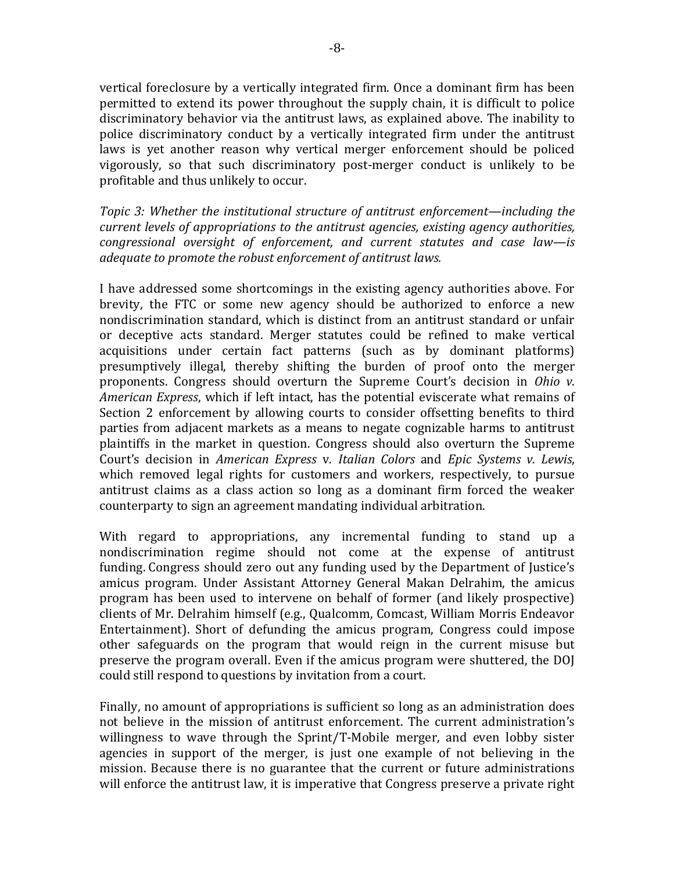vertical foreclosure by a vertically integrated firm. Once a dominant firm has been permitted to extend its power throughout the supply chain, it is difficult to police discriminatory behavior via the antitrust laws, as explained above. The inability to police discriminatory conduct by a vertically integrated firm under the antitrust laws is yet another reason why vertical merger enforcement should be policed vigorously, so that such discriminatory post-merger conduct is unlikely to be profitable and thus unlikely to occur.

*Topic 3: Whether the institutional structure of antitrust enforcement—including the current levels of appropriations to the antitrust agencies, existing agency authorities, congressional oversight of enforcement, and current statutes and case law—is adequate to promote the robust enforcement of antitrust laws.*

I have addressed some shortcomings in the existing agency authorities above. For brevity, the FTC or some new agency should be authorized to enforce a new nondiscrimination standard, which is distinct from an antitrust standard or unfair or deceptive acts standard. Merger statutes could be refined to make vertical acquisitions under certain fact patterns (such as by dominant platforms) presumptively illegal, thereby shifting the burden of proof onto the merger proponents. Congress should overturn the Supreme Court's decision in *Ohio v*. *American Express*, which if left intact, has the potential eviscerate what remains of Section 2 enforcement by allowing courts to consider offsetting benefits to third parties from adjacent markets as a means to negate cognizable harms to antitrust plaintiffs in the market in question. Congress should also overturn the Supreme Court's decision in *American Express* v. *Italian Colors* and *Epic Systems v. Lewis*, which removed legal rights for customers and workers, respectively, to pursue antitrust claims as a class action so long as a dominant firm forced the weaker counterparty to sign an agreement mandating individual arbitration.

With regard to appropriations, any incremental funding to stand up a nondiscrimination regime should not come at the expense of antitrust funding. Congress should zero out any funding used by the Department of Justice's amicus program. Under Assistant Attorney General Makan Delrahim, the amicus program has been used to intervene on behalf of former (and likely prospective) clients of Mr. Delrahim himself (e.g., Qualcomm, Comcast, William Morris Endeavor Entertainment). Short of defunding the amicus program, Congress could impose other safeguards on the program that would reign in the current misuse but preserve the program overall. Even if the amicus program were shuttered, the DOJ could still respond to questions by invitation from a court.

Finally, no amount of appropriations is sufficient so long as an administration does not believe in the mission of antitrust enforcement. The current administration's willingness to wave through the Sprint/T-Mobile merger, and even lobby sister agencies in support of the merger, is just one example of not believing in the mission. Because there is no guarantee that the current or future administrations will enforce the antitrust law, it is imperative that Congress preserve a private right